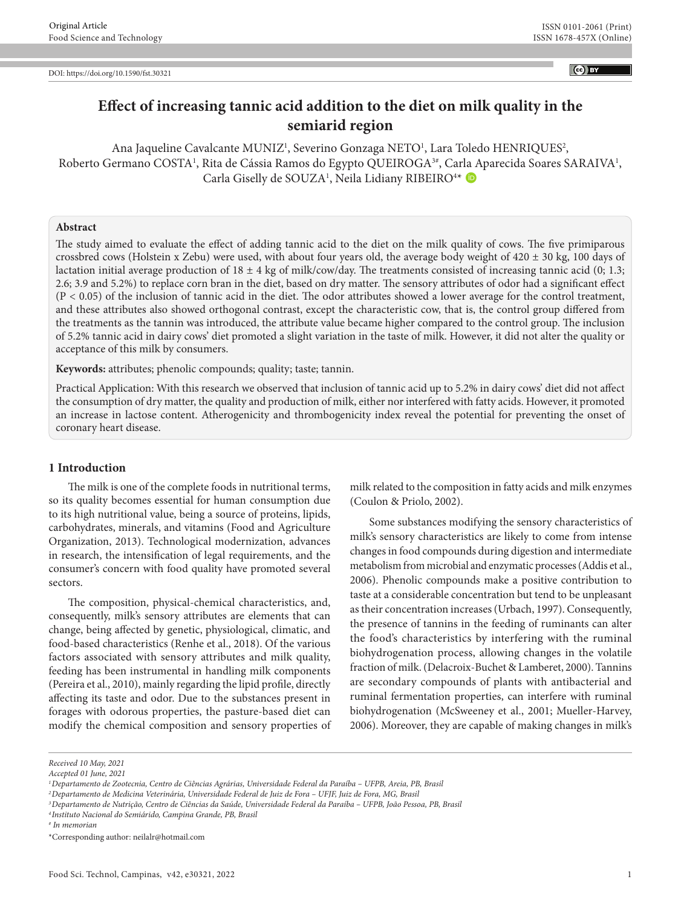$\left($ ce $\right)$  BY

# **Effect of increasing tannic acid addition to the diet on milk quality in the semiarid region**

Ana Jaqueline Cavalcante MUNIZ<sup>1</sup>, Severino Gonzaga NETO<sup>1</sup>, Lara Toledo HENRIQUES<sup>2</sup>, Roberto Germano COSTA<sup>1</sup>, Rita de Cássia Ramos do Egypto QUEIROGA<sup>3#</sup>, Carla Aparecida Soares SARAIVA<sup>1</sup>, Carla Giselly de SOUZA<sup>1</sup>, Neila Lidiany RIBEIRO<sup>4\*</sup>

# **Abstract**

The study aimed to evaluate the effect of adding tannic acid to the diet on the milk quality of cows. The five primiparous crossbred cows (Holstein x Zebu) were used, with about four years old, the average body weight of  $420 \pm 30$  kg, 100 days of lactation initial average production of  $18 \pm 4$  kg of milk/cow/day. The treatments consisted of increasing tannic acid (0; 1.3; 2.6; 3.9 and 5.2%) to replace corn bran in the diet, based on dry matter. The sensory attributes of odor had a significant effect  $(P < 0.05)$  of the inclusion of tannic acid in the diet. The odor attributes showed a lower average for the control treatment, and these attributes also showed orthogonal contrast, except the characteristic cow, that is, the control group differed from the treatments as the tannin was introduced, the attribute value became higher compared to the control group. The inclusion of 5.2% tannic acid in dairy cows' diet promoted a slight variation in the taste of milk. However, it did not alter the quality or acceptance of this milk by consumers.

**Keywords:** attributes; phenolic compounds; quality; taste; tannin.

Practical Application: With this research we observed that inclusion of tannic acid up to 5.2% in dairy cows' diet did not affect the consumption of dry matter, the quality and production of milk, either nor interfered with fatty acids. However, it promoted an increase in lactose content. Atherogenicity and thrombogenicity index reveal the potential for preventing the onset of coronary heart disease.

## **1 Introduction**

The milk is one of the complete foods in nutritional terms, so its quality becomes essential for human consumption due to its high nutritional value, being a source of proteins, lipids, carbohydrates, minerals, and vitamins (Food and Agriculture Organization, 2013). Technological modernization, advances in research, the intensification of legal requirements, and the consumer's concern with food quality have promoted several sectors.

The composition, physical-chemical characteristics, and, consequently, milk's sensory attributes are elements that can change, being affected by genetic, physiological, climatic, and food-based characteristics (Renhe et al., 2018). Of the various factors associated with sensory attributes and milk quality, feeding has been instrumental in handling milk components (Pereira et al., 2010), mainly regarding the lipid profile, directly affecting its taste and odor. Due to the substances present in forages with odorous properties, the pasture-based diet can modify the chemical composition and sensory properties of milk related to the composition in fatty acids and milk enzymes (Coulon & Priolo, 2002).

Some substances modifying the sensory characteristics of milk's sensory characteristics are likely to come from intense changes in food compounds during digestion and intermediate metabolism from microbial and enzymatic processes (Addis et al., 2006). Phenolic compounds make a positive contribution to taste at a considerable concentration but tend to be unpleasant as their concentration increases (Urbach, 1997). Consequently, the presence of tannins in the feeding of ruminants can alter the food's characteristics by interfering with the ruminal biohydrogenation process, allowing changes in the volatile fraction of milk. (Delacroix-Buchet & Lamberet, 2000). Tannins are secondary compounds of plants with antibacterial and ruminal fermentation properties, can interfere with ruminal biohydrogenation (McSweeney et al., 2001; Mueller-Harvey, 2006). Moreover, they are capable of making changes in milk's

*Received 10 May, 2021*

*Accepted 01 June, 2021*

*<sup>1</sup>Departamento de Zootecnia, Centro de Ciências Agrárias, Universidade Federal da Paraíba – UFPB, Areia, PB, Brasil*

*<sup>2</sup>Departamento de Medicina Veterinária, Universidade Federal de Juiz de Fora – UFJF, Juiz de Fora, MG, Brasil*

*<sup>3</sup>Departamento de Nutrição, Centro de Ciências da Saúde, Universidade Federal da Paraíba – UFPB, João Pessoa, PB, Brasil*

*<sup>4</sup> Instituto Nacional do Semiárido, Campina Grande, PB, Brasil*

*<sup>#</sup> In memorian*

<sup>\*</sup>Corresponding author: neilalr@hotmail.com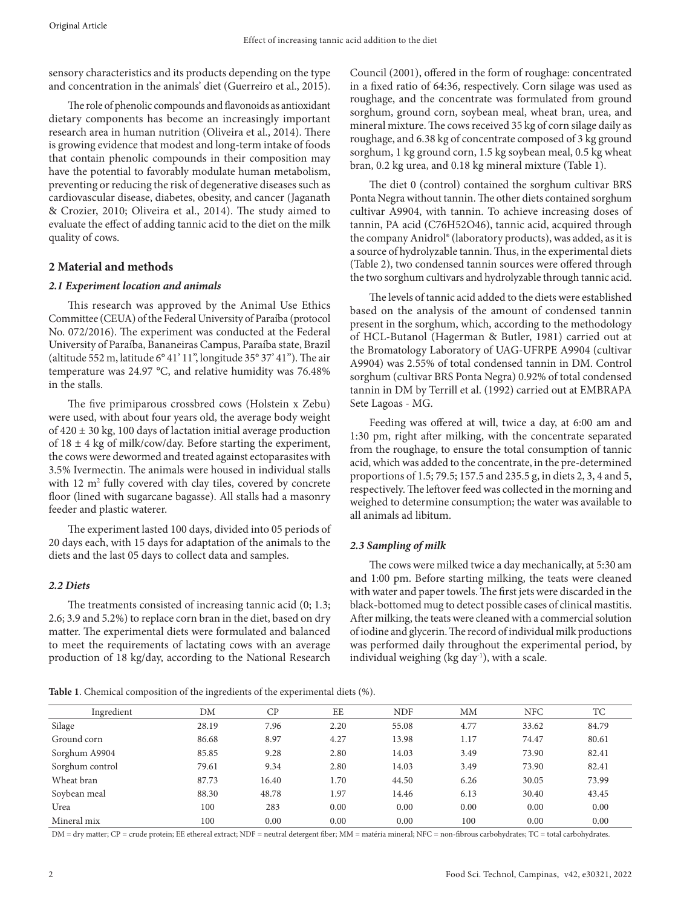sensory characteristics and its products depending on the type and concentration in the animals' diet (Guerreiro et al., 2015).

The role of phenolic compounds and flavonoids as antioxidant dietary components has become an increasingly important research area in human nutrition (Oliveira et al., 2014). There is growing evidence that modest and long-term intake of foods that contain phenolic compounds in their composition may have the potential to favorably modulate human metabolism, preventing or reducing the risk of degenerative diseases such as cardiovascular disease, diabetes, obesity, and cancer (Jaganath & Crozier, 2010; Oliveira et al., 2014). The study aimed to evaluate the effect of adding tannic acid to the diet on the milk quality of cows.

## **2 Material and methods**

#### *2.1 Experiment location and animals*

This research was approved by the Animal Use Ethics Committee (CEUA) of the Federal University of Paraíba (protocol No. 072/2016). The experiment was conducted at the Federal University of Paraíba, Bananeiras Campus, Paraíba state, Brazil (altitude 552 m, latitude 6° 41' 11", longitude 35° 37' 41"). The air temperature was 24.97 °C, and relative humidity was 76.48% in the stalls.

The five primiparous crossbred cows (Holstein x Zebu) were used, with about four years old, the average body weight of 420 ± 30 kg, 100 days of lactation initial average production of  $18 \pm 4$  kg of milk/cow/day. Before starting the experiment, the cows were dewormed and treated against ectoparasites with 3.5% Ivermectin. The animals were housed in individual stalls with 12 m<sup>2</sup> fully covered with clay tiles, covered by concrete floor (lined with sugarcane bagasse). All stalls had a masonry feeder and plastic waterer.

The experiment lasted 100 days, divided into 05 periods of 20 days each, with 15 days for adaptation of the animals to the diets and the last 05 days to collect data and samples.

## *2.2 Diets*

The treatments consisted of increasing tannic acid (0; 1.3; 2.6; 3.9 and 5.2%) to replace corn bran in the diet, based on dry matter. The experimental diets were formulated and balanced to meet the requirements of lactating cows with an average production of 18 kg/day, according to the National Research Council (2001), offered in the form of roughage: concentrated in a fixed ratio of 64:36, respectively. Corn silage was used as roughage, and the concentrate was formulated from ground sorghum, ground corn, soybean meal, wheat bran, urea, and mineral mixture. The cows received 35 kg of corn silage daily as roughage, and 6.38 kg of concentrate composed of 3 kg ground sorghum, 1 kg ground corn, 1.5 kg soybean meal, 0.5 kg wheat bran, 0.2 kg urea, and 0.18 kg mineral mixture (Table 1).

The diet 0 (control) contained the sorghum cultivar BRS Ponta Negra without tannin. The other diets contained sorghum cultivar A9904, with tannin. To achieve increasing doses of tannin, PA acid (C76H52O46), tannic acid, acquired through the company Anidrol® (laboratory products), was added, as it is a source of hydrolyzable tannin. Thus, in the experimental diets (Table 2), two condensed tannin sources were offered through the two sorghum cultivars and hydrolyzable through tannic acid.

The levels of tannic acid added to the diets were established based on the analysis of the amount of condensed tannin present in the sorghum, which, according to the methodology of HCL-Butanol (Hagerman & Butler, 1981) carried out at the Bromatology Laboratory of UAG-UFRPE A9904 (cultivar A9904) was 2.55% of total condensed tannin in DM. Control sorghum (cultivar BRS Ponta Negra) 0.92% of total condensed tannin in DM by Terrill et al. (1992) carried out at EMBRAPA Sete Lagoas - MG.

Feeding was offered at will, twice a day, at 6:00 am and 1:30 pm, right after milking, with the concentrate separated from the roughage, to ensure the total consumption of tannic acid, which was added to the concentrate, in the pre-determined proportions of 1.5; 79.5; 157.5 and 235.5 g, in diets 2, 3, 4 and 5, respectively. The leftover feed was collected in the morning and weighed to determine consumption; the water was available to all animals ad libitum.

## *2.3 Sampling of milk*

The cows were milked twice a day mechanically, at 5:30 am and 1:00 pm. Before starting milking, the teats were cleaned with water and paper towels. The first jets were discarded in the black-bottomed mug to detect possible cases of clinical mastitis. After milking, the teats were cleaned with a commercial solution of iodine and glycerin. The record of individual milk productions was performed daily throughout the experimental period, by individual weighing ( $kg \, day^{-1}$ ), with a scale.

**Table 1**. Chemical composition of the ingredients of the experimental diets (%).

| Ingredient      | DΜ    | СP    | EE   | <b>NDF</b> | MМ   | <b>NFC</b> | TС    |
|-----------------|-------|-------|------|------------|------|------------|-------|
| Silage          | 28.19 | 7.96  | 2.20 | 55.08      | 4.77 | 33.62      | 84.79 |
| Ground corn     | 86.68 | 8.97  | 4.27 | 13.98      | 1.17 | 74.47      | 80.61 |
| Sorghum A9904   | 85.85 | 9.28  | 2.80 | 14.03      | 3.49 | 73.90      | 82.41 |
| Sorghum control | 79.61 | 9.34  | 2.80 | 14.03      | 3.49 | 73.90      | 82.41 |
| Wheat bran      | 87.73 | 16.40 | 1.70 | 44.50      | 6.26 | 30.05      | 73.99 |
| Soybean meal    | 88.30 | 48.78 | 1.97 | 14.46      | 6.13 | 30.40      | 43.45 |
| Urea            | 100   | 283   | 0.00 | 0.00       | 0.00 | 0.00       | 0.00  |
| Mineral mix     | 100   | 0.00  | 0.00 | 0.00       | 100  | 0.00       | 0.00  |

DM = dry matter; CP = crude protein; EE ethereal extract; NDF = neutral detergent fiber; MM = matéria mineral; NFC = non-fibrous carbohydrates; TC = total carbohydrates.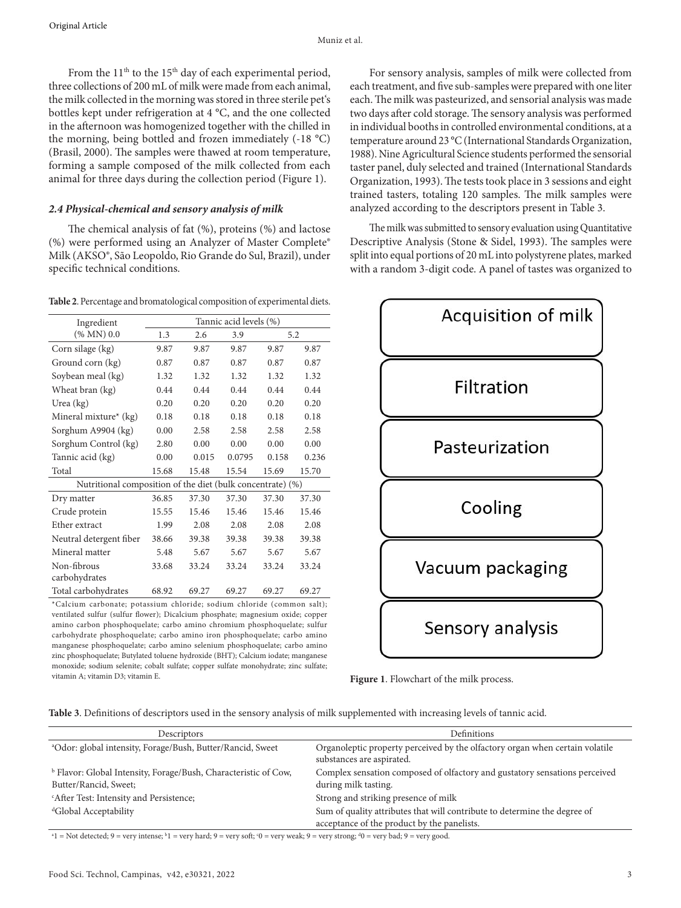From the  $11<sup>th</sup>$  to the  $15<sup>th</sup>$  day of each experimental period, three collections of 200 mL of milk were made from each animal, the milk collected in the morning was stored in three sterile pet's bottles kept under refrigeration at 4 °C, and the one collected in the afternoon was homogenized together with the chilled in the morning, being bottled and frozen immediately (-18 °C) (Brasil, 2000). The samples were thawed at room temperature, forming a sample composed of the milk collected from each animal for three days during the collection period (Figure 1).

#### *2.4 Physical-chemical and sensory analysis of milk*

The chemical analysis of fat (%), proteins (%) and lactose (%) were performed using an Analyzer of Master Complete® Milk (AKSO®, São Leopoldo, Rio Grande do Sul, Brazil), under specific technical conditions.

**Table 2**. Percentage and bromatological composition of experimental diets.

| Ingredient                                                             | Tannic acid levels (%) |            |        |       |       |  |
|------------------------------------------------------------------------|------------------------|------------|--------|-------|-------|--|
| (% MN) 0.0                                                             | 1.3                    | 2.6<br>3.9 |        | 5.2   |       |  |
| Corn silage (kg)                                                       | 9.87                   | 9.87       | 9.87   | 9.87  | 9.87  |  |
| Ground corn (kg)                                                       | 0.87                   | 0.87       | 0.87   | 0.87  | 0.87  |  |
| Soybean meal (kg)                                                      | 1.32                   | 1.32       | 1.32   | 1.32  | 1.32  |  |
| Wheat bran (kg)                                                        | 0.44                   | 0.44       | 0.44   | 0.44  | 0.44  |  |
| Urea $(kg)$                                                            | 0.20                   | 0.20       | 0.20   | 0.20  | 0.20  |  |
| Mineral mixture* (kg)                                                  | 0.18                   | 0.18       | 0.18   | 0.18  | 0.18  |  |
| Sorghum A9904 (kg)                                                     | 0.00                   | 2.58       | 2.58   | 2.58  | 2.58  |  |
| Sorghum Control (kg)                                                   | 2.80                   | 0.00       | 0.00   | 0.00  | 0.00  |  |
| Tannic acid (kg)                                                       | 0.00                   | 0.015      | 0.0795 | 0.158 | 0.236 |  |
| Total                                                                  | 15.68                  | 15.48      | 15.54  | 15.69 | 15.70 |  |
| Nutritional composition of the diet (bulk concentrate) (%)             |                        |            |        |       |       |  |
| Dry matter                                                             | 36.85                  | 37.30      | 37.30  | 37.30 | 37.30 |  |
| Crude protein                                                          | 15.55                  | 15.46      | 15.46  | 15.46 | 15.46 |  |
| Ether extract                                                          | 1.99                   | 2.08       | 2.08   | 2.08  | 2.08  |  |
| Neutral detergent fiber                                                | 38.66                  | 39.38      | 39.38  | 39.38 | 39.38 |  |
| Mineral matter                                                         | 5.48                   | 5.67       | 5.67   | 5.67  | 5.67  |  |
| Non-fibrous                                                            | 33.68                  | 33.24      | 33.24  | 33.24 | 33.24 |  |
| carbohydrates                                                          |                        |            |        |       |       |  |
| Total carbohydrates                                                    | 68.92                  | 69.27      | 69.27  | 69.27 | 69.27 |  |
| *Calcium carbonate: potassium chloride: sodium chloride (common salt): |                        |            |        |       |       |  |

\*Calcium carbonate; potassium chloride; sodium chloride (common salt); ventilated sulfur (sulfur flower); Dicalcium phosphate; magnesium oxide; copper amino carbon phosphoquelate; carbo amino chromium phosphoquelate; sulfur carbohydrate phosphoquelate; carbo amino iron phosphoquelate; carbo amino manganese phosphoquelate; carbo amino selenium phosphoquelate; carbo amino zinc phosphoquelate; Butylated toluene hydroxide (BHT); Calcium iodate; manganese monoxide; sodium selenite; cobalt sulfate; copper sulfate monohydrate; zinc sulfate; vitamin A; vitamin D3; vitamin E.

For sensory analysis, samples of milk were collected from each treatment, and five sub-samples were prepared with one liter each. The milk was pasteurized, and sensorial analysis was made two days after cold storage. The sensory analysis was performed in individual booths in controlled environmental conditions, at a temperature around 23 °C (International Standards Organization, 1988). Nine Agricultural Science students performed the sensorial taster panel, duly selected and trained (International Standards Organization, 1993). The tests took place in 3 sessions and eight trained tasters, totaling 120 samples. The milk samples were analyzed according to the descriptors present in Table 3.

The milk was submitted to sensory evaluation using Quantitative Descriptive Analysis (Stone & Sidel, 1993). The samples were split into equal portions of 20 mL into polystyrene plates, marked with a random 3‐digit code. A panel of tastes was organized to



**Figure 1**. Flowchart of the milk process.

| Descriptors                                                                                         | Definitions                                                                                                              |  |  |  |
|-----------------------------------------------------------------------------------------------------|--------------------------------------------------------------------------------------------------------------------------|--|--|--|
| <sup>a</sup> Odor: global intensity, Forage/Bush, Butter/Rancid, Sweet                              | Organoleptic property perceived by the olfactory organ when certain volatile<br>substances are aspirated.                |  |  |  |
| <sup>b</sup> Flavor: Global Intensity, Forage/Bush, Characteristic of Cow,<br>Butter/Rancid, Sweet; | Complex sensation composed of olfactory and gustatory sensations perceived<br>during milk tasting.                       |  |  |  |
| "After Test: Intensity and Persistence;                                                             | Strong and striking presence of milk                                                                                     |  |  |  |
| <sup>d</sup> Global Acceptability                                                                   | Sum of quality attributes that will contribute to determine the degree of<br>acceptance of the product by the panelists. |  |  |  |

 $^{\circ}1$  = Not detected; 9 = very intense;  $^{\circ}1$  = very hard; 9 = very soft;  $^{\circ}0$  = very weak; 9 = very strong;  $^{\circ}0$  = very bad; 9 = very good.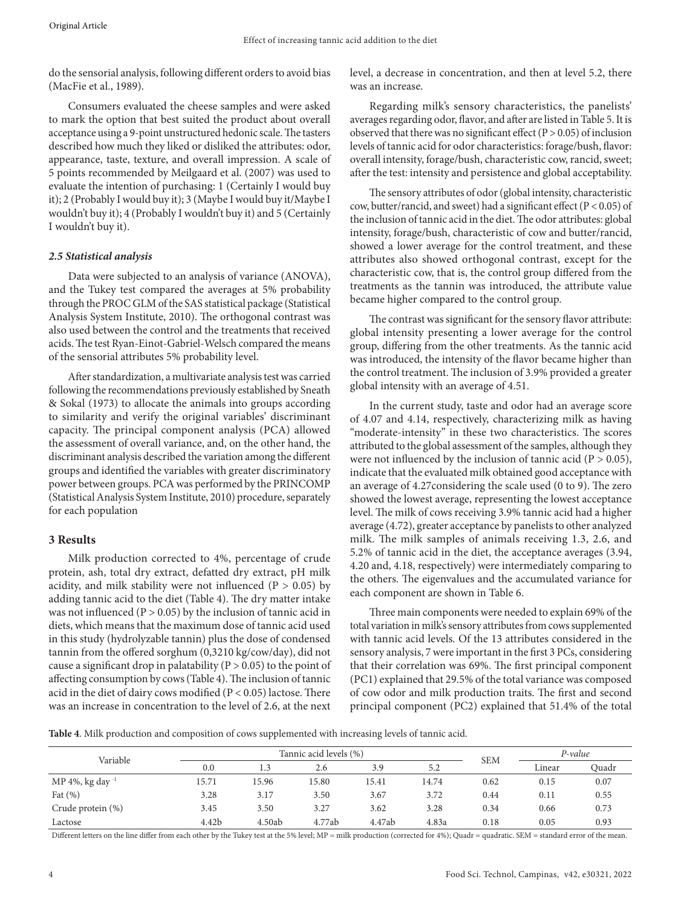do the sensorial analysis, following different orders to avoid bias (MacFie et al., 1989).

Consumers evaluated the cheese samples and were asked to mark the option that best suited the product about overall acceptance using a 9-point unstructured hedonic scale. The tasters described how much they liked or disliked the attributes: odor, appearance, taste, texture, and overall impression. A scale of 5 points recommended by Meilgaard et al. (2007) was used to evaluate the intention of purchasing: 1 (Certainly I would buy it); 2 (Probably I would buy it); 3 (Maybe I would buy it/Maybe I wouldn't buy it); 4 (Probably I wouldn't buy it) and 5 (Certainly I wouldn't buy it).

# *2.5 Statistical analysis*

Data were subjected to an analysis of variance (ANOVA), and the Tukey test compared the averages at 5% probability through the PROC GLM of the SAS statistical package (Statistical Analysis System Institute, 2010). The orthogonal contrast was also used between the control and the treatments that received acids. The test Ryan-Einot-Gabriel-Welsch compared the means of the sensorial attributes 5% probability level.

After standardization, a multivariate analysis test was carried following the recommendations previously established by Sneath & Sokal (1973) to allocate the animals into groups according to similarity and verify the original variables' discriminant capacity. The principal component analysis (PCA) allowed the assessment of overall variance, and, on the other hand, the discriminant analysis described the variation among the different groups and identified the variables with greater discriminatory power between groups. PCA was performed by the PRINCOMP (Statistical Analysis System Institute, 2010) procedure, separately for each population

# **3 Results**

Milk production corrected to 4%, percentage of crude protein, ash, total dry extract, defatted dry extract, pH milk acidity, and milk stability were not influenced  $(P > 0.05)$  by adding tannic acid to the diet (Table 4). The dry matter intake was not influenced ( $P > 0.05$ ) by the inclusion of tannic acid in diets, which means that the maximum dose of tannic acid used in this study (hydrolyzable tannin) plus the dose of condensed tannin from the offered sorghum (0,3210 kg/cow/day), did not cause a significant drop in palatability ( $P > 0.05$ ) to the point of affecting consumption by cows (Table 4). The inclusion of tannic acid in the diet of dairy cows modified ( $P < 0.05$ ) lactose. There was an increase in concentration to the level of 2.6, at the next

level, a decrease in concentration, and then at level 5.2, there was an increase.

Regarding milk's sensory characteristics, the panelists' averages regarding odor, flavor, and after are listed in Table 5. It is observed that there was no significant effect ( $P > 0.05$ ) of inclusion levels of tannic acid for odor characteristics: forage/bush, flavor: overall intensity, forage/bush, characteristic cow, rancid, sweet; after the test: intensity and persistence and global acceptability.

The sensory attributes of odor (global intensity, characteristic cow, butter/rancid, and sweet) had a significant effect (P < 0.05) of the inclusion of tannic acid in the diet. The odor attributes: global intensity, forage/bush, characteristic of cow and butter/rancid, showed a lower average for the control treatment, and these attributes also showed orthogonal contrast, except for the characteristic cow, that is, the control group differed from the treatments as the tannin was introduced, the attribute value became higher compared to the control group.

The contrast was significant for the sensory flavor attribute: global intensity presenting a lower average for the control group, differing from the other treatments. As the tannic acid was introduced, the intensity of the flavor became higher than the control treatment. The inclusion of 3.9% provided a greater global intensity with an average of 4.51.

In the current study, taste and odor had an average score of 4.07 and 4.14, respectively, characterizing milk as having "moderate-intensity" in these two characteristics. The scores attributed to the global assessment of the samples, although they were not influenced by the inclusion of tannic acid ( $P > 0.05$ ), indicate that the evaluated milk obtained good acceptance with an average of 4.27considering the scale used (0 to 9). The zero showed the lowest average, representing the lowest acceptance level. The milk of cows receiving 3.9% tannic acid had a higher average (4.72), greater acceptance by panelists to other analyzed milk. The milk samples of animals receiving 1.3, 2.6, and 5.2% of tannic acid in the diet, the acceptance averages (3.94, 4.20 and, 4.18, respectively) were intermediately comparing to the others. The eigenvalues and the accumulated variance for each component are shown in Table 6.

Three main components were needed to explain 69% of the total variation in milk's sensory attributes from cows supplemented with tannic acid levels. Of the 13 attributes considered in the sensory analysis, 7 were important in the first 3 PCs, considering that their correlation was 69%. The first principal component (PC1) explained that 29.5% of the total variance was composed of cow odor and milk production traits. The first and second principal component (PC2) explained that 51.4% of the total

**Table 4**. Milk production and composition of cows supplemented with increasing levels of tannic acid.

| Variable              |       | Tannic acid levels (%) |        |        |       |            | P-value |       |
|-----------------------|-------|------------------------|--------|--------|-------|------------|---------|-------|
|                       | 0.0   |                        | 2.6    | 3.9    | 5.2   | <b>SEM</b> | Linear  | Ouadr |
| MP 4%, kg day $^{-1}$ | 15.71 | 15.96                  | 15.80  | 15.41  | 14.74 | 0.62       | 0.15    | 0.07  |
| Fat $(\% )$           | 3.28  | 3.17                   | 3.50   | 3.67   | 3.72  | 0.44       | 0.11    | 0.55  |
| Crude protein (%)     | 3.45  | 3.50                   | 3.27   | 3.62   | 3.28  | 0.34       | 0.66    | 0.73  |
| Lactose               | 4.42b | 4.50ab                 | 4.77ab | 4.47ab | 4.83a | 0.18       | 0.05    | 0.93  |

Different letters on the line differ from each other by the Tukey test at the 5% level; MP = milk production (corrected for 4%); Quadr = quadratic. SEM = standard error of the mean.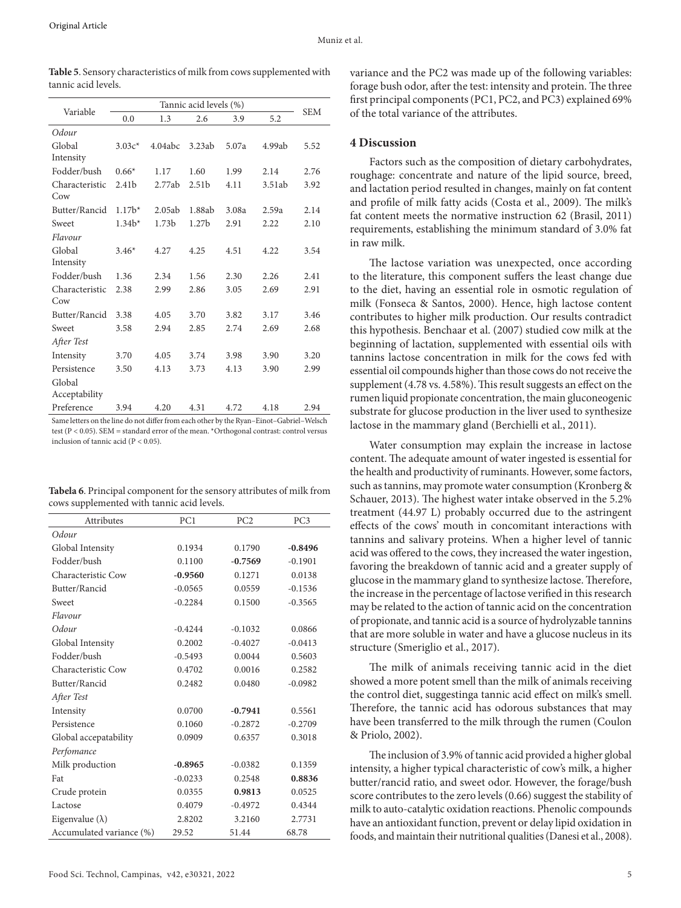| Variable       | Tannic acid levels (%) |                   |                   |       |        |            |
|----------------|------------------------|-------------------|-------------------|-------|--------|------------|
|                | 0.0                    | 1.3               | 2.6               | 3.9   | 5.2    | <b>SEM</b> |
| Odour          |                        |                   |                   |       |        |            |
| Global         | $3.03c*$               | 4.04abc           | 3.23ab            | 5.07a | 4.99ab | 5.52       |
| Intensity      |                        |                   |                   |       |        |            |
| Fodder/bush    | $0.66*$                | 1.17              | 1.60              | 1.99  | 2.14   | 2.76       |
| Characteristic | 2.41 <sub>b</sub>      | 2.77ab            | 2.51 <sub>b</sub> | 4.11  | 3.51ab | 3.92       |
| Cow            |                        |                   |                   |       |        |            |
| Butter/Rancid  | $1.17b*$               | 2.05ab            | 1.88ab            | 3.08a | 2.59a  | 2.14       |
| Sweet          | $1.34b*$               | 1.73 <sub>b</sub> | 1.27 <sub>b</sub> | 2.91  | 2.22   | 2.10       |
| Flavour        |                        |                   |                   |       |        |            |
| Global         | $3.46*$                | 4.27              | 4.25              | 4.51  | 4.22   | 3.54       |
| Intensity      |                        |                   |                   |       |        |            |
| Fodder/bush    | 1.36                   | 2.34              | 1.56              | 2.30  | 2.26   | 2.41       |
| Characteristic | 2.38                   | 2.99              | 2.86              | 3.05  | 2.69   | 2.91       |
| Cow            |                        |                   |                   |       |        |            |
| Butter/Rancid  | 3.38                   | 4.05              | 3.70              | 3.82  | 3.17   | 3.46       |
| Sweet          | 3.58                   | 2.94              | 2.85              | 2.74  | 2.69   | 2.68       |
| After Test     |                        |                   |                   |       |        |            |
| Intensity      | 3.70                   | 4.05              | 3.74              | 3.98  | 3.90   | 3.20       |
| Persistence    | 3.50                   | 4.13              | 3.73              | 4.13  | 3.90   | 2.99       |
| Global         |                        |                   |                   |       |        |            |
| Acceptability  |                        |                   |                   |       |        |            |
| Preference     | 3.94                   | 4.20              | 4.31              | 4.72  | 4.18   | 2.94       |

**Table 5**. Sensory characteristics of milk from cows supplemented with tannic acid levels.

Same letters on the line do not differ from each other by the Ryan–Einot–Gabriel–Welsch test (P < 0.05). SEM = standard error of the mean. \*Orthogonal contrast: control versus inclusion of tannic acid ( $P < 0.05$ )

| Tabela 6. Principal component for the sensory attributes of milk from |
|-----------------------------------------------------------------------|
| cows supplemented with tannic acid levels.                            |

| --тг                     |           |                 |                 |
|--------------------------|-----------|-----------------|-----------------|
| Attributes               | PC1       | PC <sub>2</sub> | PC <sub>3</sub> |
| Odour                    |           |                 |                 |
| Global Intensity         | 0.1934    | 0.1790          | $-0.8496$       |
| Fodder/bush              | 0.1100    | $-0.7569$       | $-0.1901$       |
| Characteristic Cow       | $-0.9560$ | 0.1271          | 0.0138          |
| Butter/Rancid            | $-0.0565$ | 0.0559          | $-0.1536$       |
| Sweet                    | $-0.2284$ | 0.1500          | $-0.3565$       |
| Flavour                  |           |                 |                 |
| Odour                    | $-0.4244$ | $-0.1032$       | 0.0866          |
| Global Intensity         | 0.2002    | $-0.4027$       | $-0.0413$       |
| Fodder/bush              | $-0.5493$ | 0.0044          | 0.5603          |
| Characteristic Cow       | 0.4702    | 0.0016          | 0.2582          |
| Butter/Rancid            | 0.2482    | 0.0480          | $-0.0982$       |
| After Test               |           |                 |                 |
| Intensity                | 0.0700    | $-0.7941$       | 0.5561          |
| Persistence              | 0.1060    | $-0.2872$       | $-0.2709$       |
| Global accepatability    | 0.0909    | 0.6357          | 0.3018          |
| Perfomance               |           |                 |                 |
| Milk production          | $-0.8965$ | $-0.0382$       | 0.1359          |
| Fat                      | $-0.0233$ | 0.2548          | 0.8836          |
| Crude protein            | 0.0355    | 0.9813          | 0.0525          |
| Lactose                  | 0.4079    | $-0.4972$       | 0.4344          |
| Eigenvalue $(\lambda)$   | 2.8202    | 3.2160          | 2.7731          |
| Accumulated variance (%) | 29.52     | 51.44           | 68.78           |

## **4 Discussion**

Factors such as the composition of dietary carbohydrates, roughage: concentrate and nature of the lipid source, breed, and lactation period resulted in changes, mainly on fat content and profile of milk fatty acids (Costa et al., 2009). The milk's fat content meets the normative instruction 62 (Brasil, 2011) requirements, establishing the minimum standard of 3.0% fat in raw milk.

The lactose variation was unexpected, once according to the literature, this component suffers the least change due to the diet, having an essential role in osmotic regulation of milk (Fonseca & Santos, 2000). Hence, high lactose content contributes to higher milk production. Our results contradict this hypothesis. Benchaar et al. (2007) studied cow milk at the beginning of lactation, supplemented with essential oils with tannins lactose concentration in milk for the cows fed with essential oil compounds higher than those cows do not receive the supplement (4.78 vs. 4.58%). This result suggests an effect on the rumen liquid propionate concentration, the main gluconeogenic substrate for glucose production in the liver used to synthesize lactose in the mammary gland (Berchielli et al., 2011).

Water consumption may explain the increase in lactose content. The adequate amount of water ingested is essential for the health and productivity of ruminants. However, some factors, such as tannins, may promote water consumption (Kronberg & Schauer, 2013). The highest water intake observed in the 5.2% treatment (44.97 L) probably occurred due to the astringent effects of the cows' mouth in concomitant interactions with tannins and salivary proteins. When a higher level of tannic acid was offered to the cows, they increased the water ingestion, favoring the breakdown of tannic acid and a greater supply of glucose in the mammary gland to synthesize lactose. Therefore, the increase in the percentage of lactose verified in this research may be related to the action of tannic acid on the concentration of propionate, and tannic acid is a source of hydrolyzable tannins that are more soluble in water and have a glucose nucleus in its structure (Smeriglio et al., 2017).

The milk of animals receiving tannic acid in the diet showed a more potent smell than the milk of animals receiving the control diet, suggestinga tannic acid effect on milk's smell. Therefore, the tannic acid has odorous substances that may have been transferred to the milk through the rumen (Coulon & Priolo, 2002).

The inclusion of 3.9% of tannic acid provided a higher global intensity, a higher typical characteristic of cow's milk, a higher butter/rancid ratio, and sweet odor. However, the forage/bush score contributes to the zero levels (0.66) suggest the stability of milk to auto-catalytic oxidation reactions. Phenolic compounds have an antioxidant function, prevent or delay lipid oxidation in foods, and maintain their nutritional qualities (Danesi et al., 2008).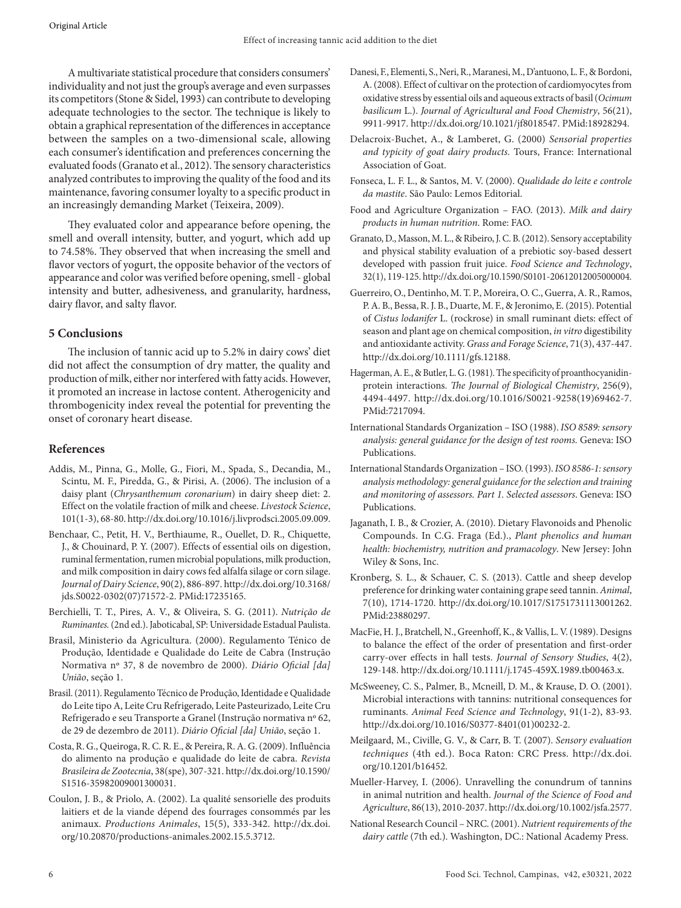A multivariate statistical procedure that considers consumers' individuality and not just the group's average and even surpasses its competitors (Stone & Sidel, 1993) can contribute to developing adequate technologies to the sector. The technique is likely to obtain a graphical representation of the differences in acceptance between the samples on a two-dimensional scale, allowing each consumer's identification and preferences concerning the evaluated foods (Granato et al., 2012). The sensory characteristics analyzed contributes to improving the quality of the food and its maintenance, favoring consumer loyalty to a specific product in an increasingly demanding Market (Teixeira, 2009).

They evaluated color and appearance before opening, the smell and overall intensity, butter, and yogurt, which add up to 74.58%. They observed that when increasing the smell and flavor vectors of yogurt, the opposite behavior of the vectors of appearance and color was verified before opening, smell - global intensity and butter, adhesiveness, and granularity, hardness, dairy flavor, and salty flavor.

# **5 Conclusions**

The inclusion of tannic acid up to 5.2% in dairy cows' diet did not affect the consumption of dry matter, the quality and production of milk, either nor interfered with fatty acids. However, it promoted an increase in lactose content. Atherogenicity and thrombogenicity index reveal the potential for preventing the onset of coronary heart disease.

# **References**

- Addis, M., Pinna, G., Molle, G., Fiori, M., Spada, S., Decandia, M., Scintu, M. F., Piredda, G., & Pirisi, A. (2006). The inclusion of a daisy plant (*Chrysanthemum coronarium*) in dairy sheep diet: 2. Effect on the volatile fraction of milk and cheese. *Livestock Science*, 101(1-3), 68-80. [http://dx.doi.org/10.1016/j.livprodsci.2005.09.009](https://doi.org/10.1016/j.livprodsci.2005.09.009).
- Benchaar, C., Petit, H. V., Berthiaume, R., Ouellet, D. R., Chiquette, J., & Chouinard, P. Y. (2007). Effects of essential oils on digestion, ruminal fermentation, rumen microbial populations, milk production, and milk composition in dairy cows fed alfalfa silage or corn silage. *Journal of Dairy Science*, 90(2), 886-897. [http://dx.doi.org/10.3168/](https://doi.org/10.3168/jds.S0022-0302(07)71572-2) [jds.S0022-0302\(07\)71572-2](https://doi.org/10.3168/jds.S0022-0302(07)71572-2)[. PMid:17235165.](https://www.ncbi.nlm.nih.gov/entrez/query.fcgi?cmd=Retrieve&db=PubMed&list_uids=17235165&dopt=Abstract)
- Berchielli, T. T., Pires, A. V., & Oliveira, S. G. (2011). *Nutrição de Ruminantes.* (2nd ed.). Jaboticabal, SP: Universidade Estadual Paulista.
- Brasil, Ministerio da Agricultura. (2000). Regulamento Ténico de Produção, Identidade e Qualidade do Leite de Cabra (Instrução Normativa nº 37, 8 de novembro de 2000). *Diário Oficial [da] União*, seção 1.
- Brasil. (2011). Regulamento Técnico de Produção, Identidade e Qualidade do Leite tipo A, Leite Cru Refrigerado, Leite Pasteurizado, Leite Cru Refrigerado e seu Transporte a Granel (Instrução normativa nº 62, de 29 de dezembro de 2011). *Diário Oficial [da] União*, seção 1.
- Costa, R. G., Queiroga, R. C. R. E., & Pereira, R. A. G. (2009). Influência do alimento na produção e qualidade do leite de cabra. *Revista Brasileira de Zootecnia*, 38(spe), 307-321. [http://dx.doi.org/10.1590/](https://doi.org/10.1590/S1516-35982009001300031) [S1516-35982009001300031](https://doi.org/10.1590/S1516-35982009001300031).
- Coulon, J. B., & Priolo, A. (2002). La qualité sensorielle des produits laitiers et de la viande dépend des fourrages consommés par les animaux. *Productions Animales*, 15(5), 333-342. [http://dx.doi.](https://doi.org/10.20870/productions-animales.2002.15.5.3712) [org/10.20870/productions-animales.2002.15.5.3712.](https://doi.org/10.20870/productions-animales.2002.15.5.3712)
- Danesi, F., Elementi, S., Neri, R., Maranesi, M., D'antuono, L. F., & Bordoni, A. (2008). Effect of cultivar on the protection of cardiomyocytes from oxidative stress by essential oils and aqueous extracts of basil (*Ocimum basilicum* L.). *Journal of Agricultural and Food Chemistry*, 56(21), 9911-9917. [http://dx.doi.org/10.1021/jf8018547.](https://doi.org/10.1021/jf8018547) [PMid:18928294.](https://www.ncbi.nlm.nih.gov/entrez/query.fcgi?cmd=Retrieve&db=PubMed&list_uids=18928294&dopt=Abstract)
- Delacroix-Buchet, A., & Lamberet, G. (2000) *Sensorial properties and typicity of goat dairy products.* Tours, France: International Association of Goat.
- Fonseca, L. F. L., & Santos, M. V. (2000). *Qualidade do leite e controle da mastite*. São Paulo: Lemos Editorial.
- Food and Agriculture Organization FAO. (2013). *Milk and dairy products in human nutrition*. Rome: FAO.
- Granato, D., Masson, M. L., & Ribeiro, J. C. B. (2012). Sensory acceptability and physical stability evaluation of a prebiotic soy-based dessert developed with passion fruit juice. *Food Science and Technology*, 32(1), 119-125. [http://dx.doi.org/10.1590/S0101-20612012005000004.](https://doi.org/10.1590/S0101-20612012005000004)
- Guerreiro, O., Dentinho, M. T. P., Moreira, O. C., Guerra, A. R., Ramos, P. A. B., Bessa, R. J. B., Duarte, M. F., & Jeronimo, E. (2015). Potential of *Cistus lodanifer* L. (rockrose) in small ruminant diets: effect of season and plant age on chemical composition, *in vitro* digestibility and antioxidante activity. *Grass and Forage Science*, 71(3), 437-447. [http://dx.doi.org/10.1111/gfs.12188.](https://doi.org/10.1111/gfs.12188)
- Hagerman, A. E., & Butler, L. G. (1981). The specificity of proanthocyanidinprotein interactions. *The Journal of Biological Chemistry*, 256(9), 4494-4497. [http://dx.doi.org/10.1016/S0021-9258\(19\)69462-7.](https://doi.org/10.1016/S0021-9258(19)69462-7) [PMid:7217094.](https://www.ncbi.nlm.nih.gov/entrez/query.fcgi?cmd=Retrieve&db=PubMed&list_uids=7217094&dopt=Abstract)
- International Standards Organization ISO (1988). *ISO 8589: sensory analysis: general guidance for the design of test rooms.* Geneva: ISO Publications.
- International Standards Organization ISO. (1993). *ISO 8586‐1: sensory analysis methodology: general guidance for the selection and training and monitoring of assessors. Part 1. Selected assessors*. Geneva: ISO Publications.
- Jaganath, I. B., & Crozier, A. (2010). Dietary Flavonoids and Phenolic Compounds. In C.G. Fraga (Ed.)., *Plant phenolics and human health: biochemistry, nutrition and pramacology*. New Jersey: John Wiley & Sons, Inc.
- Kronberg, S. L., & Schauer, C. S. (2013). Cattle and sheep develop preference for drinking water containing grape seed tannin. *Animal*, 7(10), 1714-1720. [http://dx.doi.org/10.1017/S1751731113001262.](https://doi.org/10.1017/S1751731113001262) [PMid:23880297.](https://www.ncbi.nlm.nih.gov/entrez/query.fcgi?cmd=Retrieve&db=PubMed&list_uids=23880297&dopt=Abstract)
- MacFie, H. J., Bratchell, N., Greenhoff, K., & Vallis, L. V. (1989). Designs to balance the effect of the order of presentation and first‐order carry‐over effects in hall tests. *Journal of Sensory Studies*, 4(2), 129-148. http://dx.doi.org/10.1111/j.1745-459X.1989.tb00463.x.
- McSweeney, C. S., Palmer, B., Mcneill, D. M., & Krause, D. O. (2001). Microbial interactions with tannins: nutritional consequences for ruminants. *Animal Feed Science and Technology*, 91(1-2), 83-93. [http://dx.doi.org/10.1016/S0377-8401\(01\)00232-2.](https://doi.org/10.1016/S0377-8401(01)00232-2)
- Meilgaard, M., Civille, G. V., & Carr, B. T. (2007). *Sensory evaluation techniques* (4th ed.). Boca Raton: CRC Press. [http://dx.doi.](https://doi.org/10.1201/b16452) [org/10.1201/b16452.](https://doi.org/10.1201/b16452)
- Mueller-Harvey, I. (2006). Unravelling the conundrum of tannins in animal nutrition and health. *Journal of the Science of Food and Agriculture*, 86(13), 2010-2037. [http://dx.doi.org/10.1002/jsfa.2577.](https://doi.org/10.1002/jsfa.2577)
- National Research Council NRC. (2001). *Nutrient requirements of the dairy cattle* (7th ed.). Washington, DC.: National Academy Press.